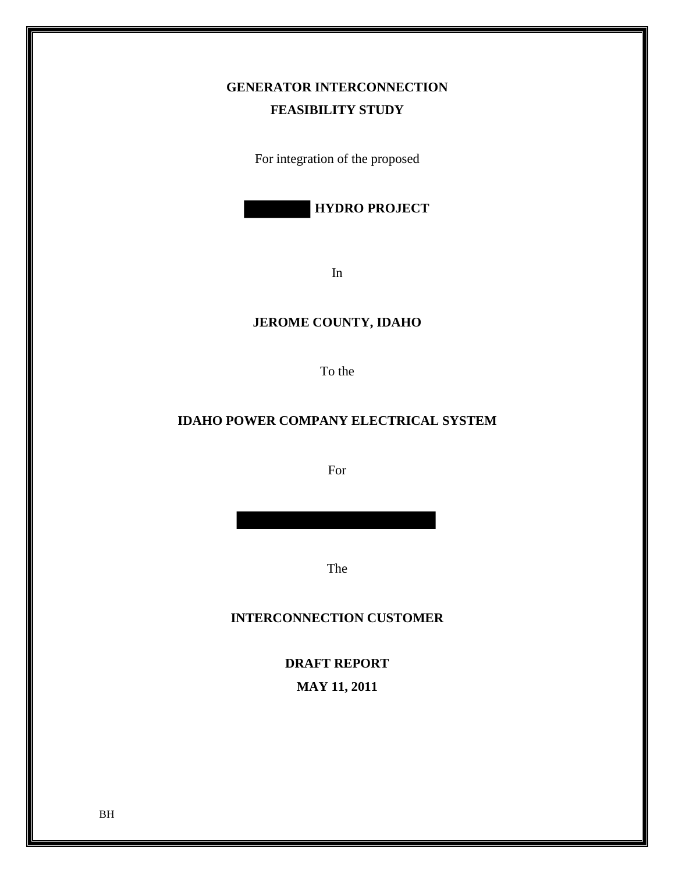# **GENERATOR INTERCONNECTION FEASIBILITY STUDY**

For integration of the proposed

 **HYDRO PROJECT**

In

## **JEROME COUNTY, IDAHO**

To the

## **IDAHO POWER COMPANY ELECTRICAL SYSTEM**

For

The

### **INTERCONNECTION CUSTOMER**

**DRAFT REPORT MAY 11, 2011**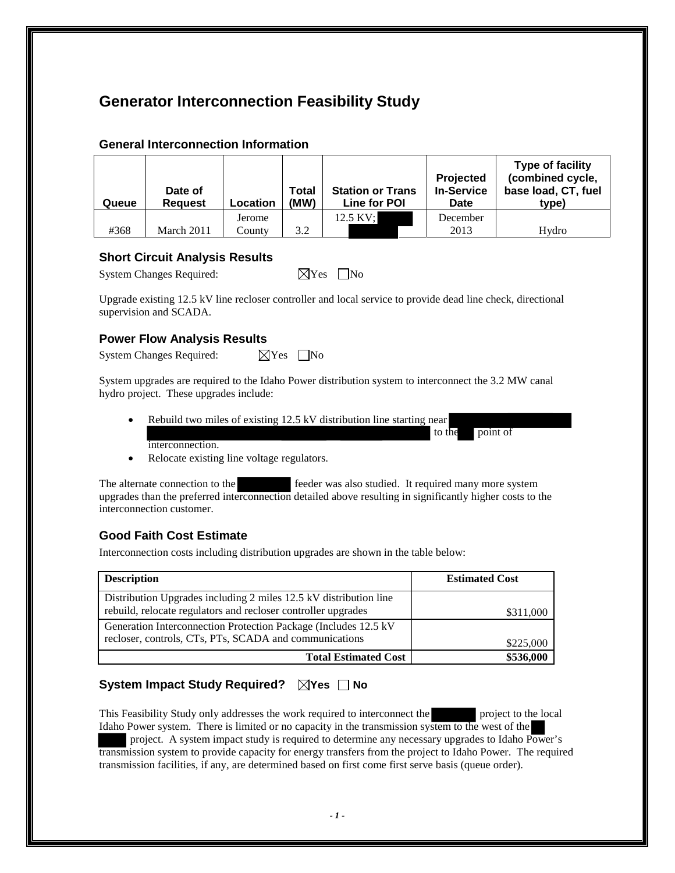# **Generator Interconnection Feasibility Study**

| Queue | Date of<br><b>Request</b> | Location         | Total<br>(MW) | <b>Station or Trans</b><br>Line for POI | <b>Projected</b><br><b>In-Service</b><br>Date | Type of facility<br>(combined cycle,<br>base load, CT, fuel<br>type) |
|-------|---------------------------|------------------|---------------|-----------------------------------------|-----------------------------------------------|----------------------------------------------------------------------|
| #368  | March 2011                | Jerome<br>County | 3.2           | 12.5 KV;                                | December<br>2013                              | Hydro                                                                |

#### **General Interconnection Information**

#### **Short Circuit Analysis Results**

| <b>System Changes Required:</b> | $\boxtimes$ Yes $\Box$ No |  |
|---------------------------------|---------------------------|--|

Upgrade existing 12.5 kV line recloser controller and local service to provide dead line check, directional supervision and SCADA.

### **Power Flow Analysis Results**

System Changes Required:  $\boxtimes$  Yes  $\Box$  No

System upgrades are required to the Idaho Power distribution system to interconnect the 3.2 MW canal hydro project. These upgrades include:

Rebuild two miles of existing 12.5 kV distribution line starting near

to the point of

interconnection.

• Relocate existing line voltage regulators.

The alternate connection to the feeder was also studied. It required many more system upgrades than the preferred interconnection detailed above resulting in significantly higher costs to the interconnection customer.

## **Good Faith Cost Estimate**

Interconnection costs including distribution upgrades are shown in the table below:

| <b>Description</b>                                                                                                                 | <b>Estimated Cost</b> |
|------------------------------------------------------------------------------------------------------------------------------------|-----------------------|
| Distribution Upgrades including 2 miles 12.5 kV distribution line<br>rebuild, relocate regulators and recloser controller upgrades | \$311,000             |
| Generation Interconnection Protection Package (Includes 12.5 kV)<br>recloser, controls, CTs, PTs, SCADA and communications         | \$225,000             |
| <b>Total Estimated Cost</b>                                                                                                        | \$536,000             |

## System Impact Study Required? **No No**

This Feasibility Study only addresses the work required to interconnect the project to the local Idaho Power system. There is limited or no capacity in the transmission system to the west of the

 project. A system impact study is required to determine any necessary upgrades to Idaho Power's transmission system to provide capacity for energy transfers from the project to Idaho Power. The required transmission facilities, if any, are determined based on first come first serve basis (queue order).